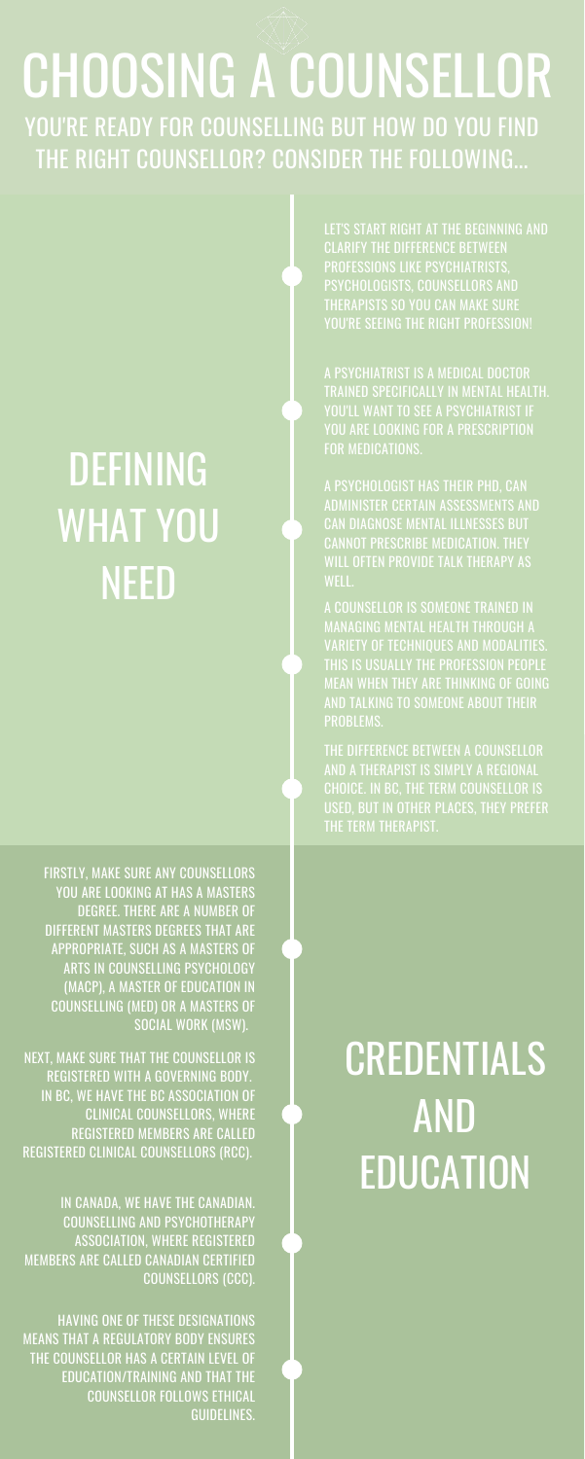# DEFINING WHAT YOU NEED

### CREDENTIALS AND EDUCATION

FIRSTLY, MAKE SURE ANY COUNSELLORS YOU ARE LOOKING AT HAS A MASTERS DEGREE. THERE ARE A NUMBER OF DIFFERENT MASTERS DEGREES THAT ARE APPROPRIATE, SUCH AS A MASTERS OF ARTS IN COUNSELLING PSYCHOLOGY (MACP), A MASTER OF EDUCATION IN COUNSELLING (MED) OR A MASTERS OF SOCIAL WORK (MSW).

### CHOOSING A COUNSELLOR YOU'RE READY FOR COUNSELLING BUT HOW DO YOU FIND THE RIGHT COUNSELLOR? CONSIDER THE FOLLOWING...

LET'S START RIGHT AT THE BEGINNING AND CLARIFY THE DIFFERENCE BETWEEN PROFESSIONS LIKE PSYCHIATRISTS, PSYCHOLOGISTS, COUNSELLORS AND THERAPISTS SO YOU CAN MAKE SURE YOU'RE SEEING THE RIGHT PROFESSION!

THE DIFFERENCE BETWEEN A COUNSELLOR AND A THERAPIST IS SIMPLY A REGIONAL CHOICE. IN BC, THE TERM COUNSELLOR IS USED, BUT IN OTHER PLACES, THEY PREFER THE TERM THERAPIST.

NEXT, MAKE SURE THAT THE COUNSELLOR IS REGISTERED WITH A GOVERNING BODY. IN BC, WE HAVE THE BC ASSOCIATION OF CLINICAL COUNSELLORS, WHERE REGISTERED MEMBERS ARE CALLED REGISTERED CLINICAL COUNSELLORS (RCC).

A PSYCHIATRIST IS A MEDICAL DOCTOR TRAINED SPECIFICALLY IN MENTAL HEALTH. YOU'LL WANT TO SEE A PSYCHIATRIST IF YOU ARE LOOKING FOR A PRESCRIPTION FOR MEDICATIONS.

A PSYCHOLOGIST HAS THEIR PHD, CAN ADMINISTER CERTAIN ASSESSMENTS AND CAN DIAGNOSE MENTAL ILLNESSES BUT CANNOT PRESCRIBE MEDICATION. THEY WILL OFTEN PROVIDE TALK THERAPY AS WELL.

A COUNSELLOR IS SOMEONE TRAINED IN MANAGING MENTAL HEALTH THROUGH A VARIETY OF TECHNIQUES AND MODALITIES. THIS IS USUALLY THE PROFESSION PEOPLE MEAN WHEN THEY ARE THINKING OF GOING AND TALKING TO SOMEONE ABOUT THEIR PROBLEMS.

IN CANADA, WE HAVE THE CANADIAN. COUNSELLING AND PSYCHOTHERAPY ASSOCIATION, WHERE REGISTERED MEMBERS ARE CALLED CANADIAN CERTIFIED COUNSELLORS (CCC).

HAVING ONE OF THESE DESIGNATIONS MEANS THAT A REGULATORY BODY ENSURES THE COUNSELLOR HAS A CERTAIN LEVEL OF EDUCATION/TRAINING AND THAT THE COUNSELLOR FOLLOWS ETHICAL GUIDELINES.